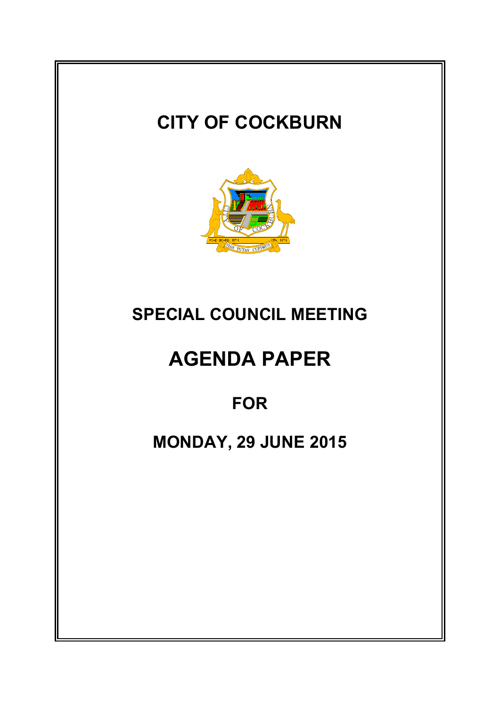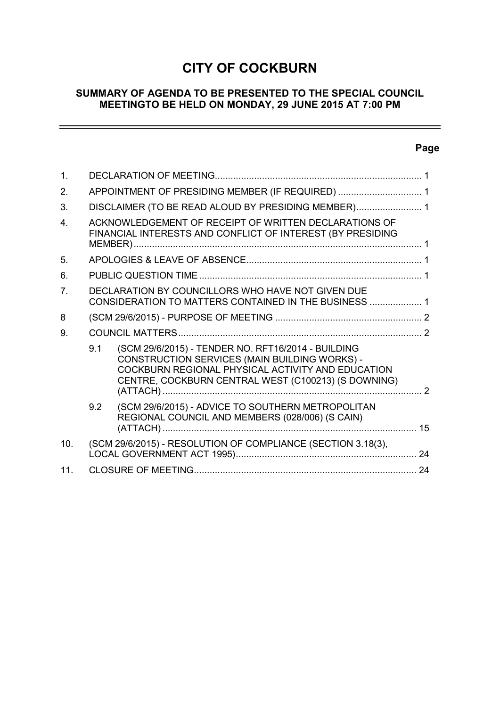# **CITY OF COCKBURN**

## **SUMMARY OF AGENDA TO BE PRESENTED TO THE SPECIAL COUNCIL MEETINGTO BE HELD ON MONDAY, 29 JUNE 2015 AT 7:00 PM**

# **Page**

÷,

| 1.             |     |                                                                                                                                                                                                                 |                          |
|----------------|-----|-----------------------------------------------------------------------------------------------------------------------------------------------------------------------------------------------------------------|--------------------------|
| 2.             |     | APPOINTMENT OF PRESIDING MEMBER (IF REQUIRED)  1                                                                                                                                                                |                          |
| 3.             |     | DISCLAIMER (TO BE READ ALOUD BY PRESIDING MEMBER) 1                                                                                                                                                             |                          |
| 4              |     | ACKNOWLEDGEMENT OF RECEIPT OF WRITTEN DECLARATIONS OF<br>FINANCIAL INTERESTS AND CONFLICT OF INTEREST (BY PRESIDING                                                                                             |                          |
| 5.             |     |                                                                                                                                                                                                                 |                          |
| 6.             |     |                                                                                                                                                                                                                 |                          |
| 7 <sub>1</sub> |     | DECLARATION BY COUNCILLORS WHO HAVE NOT GIVEN DUE<br>CONSIDERATION TO MATTERS CONTAINED IN THE BUSINESS  1                                                                                                      |                          |
| 8              |     |                                                                                                                                                                                                                 |                          |
| 9.             |     |                                                                                                                                                                                                                 |                          |
|                | 9.1 | (SCM 29/6/2015) - TENDER NO. RFT16/2014 - BUILDING<br>CONSTRUCTION SERVICES (MAIN BUILDING WORKS) -<br>COCKBURN REGIONAL PHYSICAL ACTIVITY AND EDUCATION<br>CENTRE, COCKBURN CENTRAL WEST (C100213) (S DOWNING) | $\overline{\phantom{a}}$ |
|                | 9.2 | (SCM 29/6/2015) - ADVICE TO SOUTHERN METROPOLITAN<br>REGIONAL COUNCIL AND MEMBERS (028/006) (S CAIN)                                                                                                            |                          |
| 10.            |     | (SCM 29/6/2015) - RESOLUTION OF COMPLIANCE (SECTION 3.18(3),                                                                                                                                                    |                          |
| 11.            |     |                                                                                                                                                                                                                 |                          |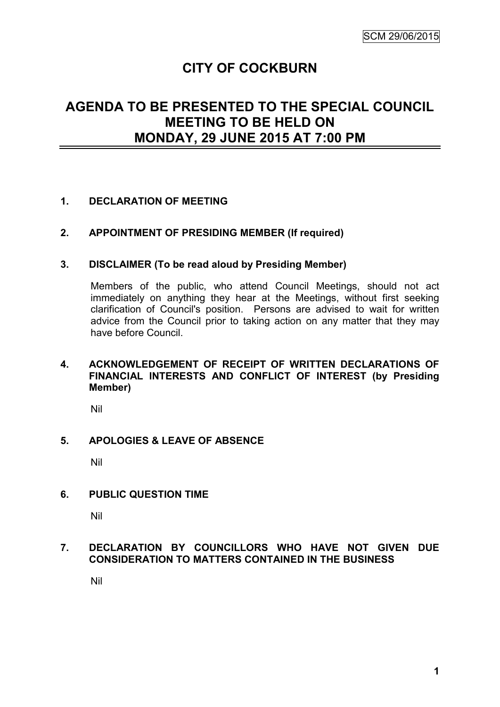# **CITY OF COCKBURN**

# **AGENDA TO BE PRESENTED TO THE SPECIAL COUNCIL MEETING TO BE HELD ON MONDAY, 29 JUNE 2015 AT 7:00 PM**

### **1. DECLARATION OF MEETING**

### **2. APPOINTMENT OF PRESIDING MEMBER (If required)**

### **3. DISCLAIMER (To be read aloud by Presiding Member)**

Members of the public, who attend Council Meetings, should not act immediately on anything they hear at the Meetings, without first seeking clarification of Council's position. Persons are advised to wait for written advice from the Council prior to taking action on any matter that they may have before Council.

### **4. ACKNOWLEDGEMENT OF RECEIPT OF WRITTEN DECLARATIONS OF FINANCIAL INTERESTS AND CONFLICT OF INTEREST (by Presiding Member)**

Nil

### **5. APOLOGIES & LEAVE OF ABSENCE**

Nil

### **6. PUBLIC QUESTION TIME**

Nil

### **7. DECLARATION BY COUNCILLORS WHO HAVE NOT GIVEN DUE CONSIDERATION TO MATTERS CONTAINED IN THE BUSINESS**

Nil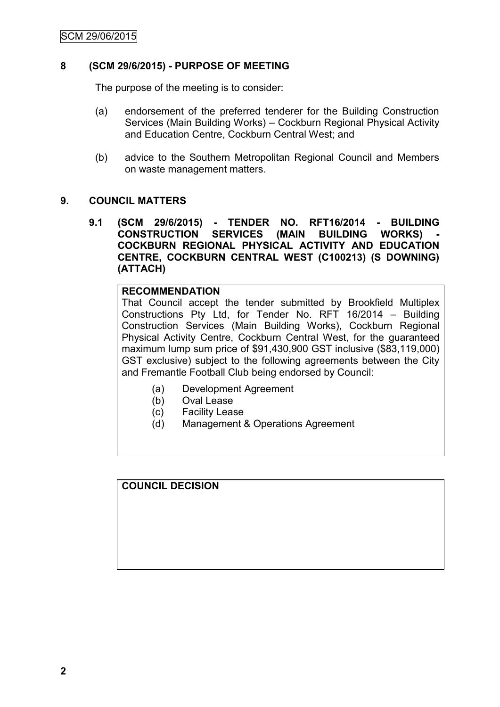### **8 (SCM 29/6/2015) - PURPOSE OF MEETING**

The purpose of the meeting is to consider:

- (a) endorsement of the preferred tenderer for the Building Construction Services (Main Building Works) – Cockburn Regional Physical Activity and Education Centre, Cockburn Central West; and
- (b) advice to the Southern Metropolitan Regional Council and Members on waste management matters.

### **9. COUNCIL MATTERS**

**9.1 (SCM 29/6/2015) - TENDER NO. RFT16/2014 - BUILDING CONSTRUCTION SERVICES (MAIN BUILDING WORKS) COCKBURN REGIONAL PHYSICAL ACTIVITY AND EDUCATION CENTRE, COCKBURN CENTRAL WEST (C100213) (S DOWNING) (ATTACH)**

### **RECOMMENDATION**

That Council accept the tender submitted by Brookfield Multiplex Constructions Pty Ltd, for Tender No. RFT 16/2014 – Building Construction Services (Main Building Works), Cockburn Regional Physical Activity Centre, Cockburn Central West, for the guaranteed maximum lump sum price of \$91,430,900 GST inclusive (\$83,119,000) GST exclusive) subject to the following agreements between the City and Fremantle Football Club being endorsed by Council:

- (a) Development Agreement
- (b) Oval Lease
- (c) Facility Lease
- (d) Management & Operations Agreement

**COUNCIL DECISION**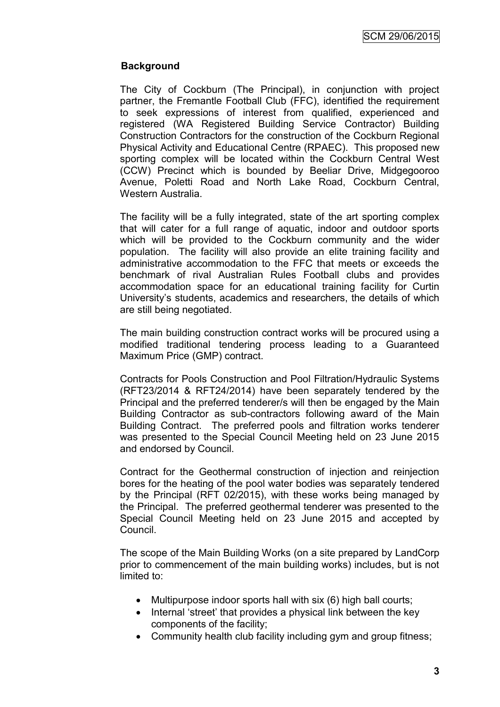### **Background**

The City of Cockburn (The Principal), in conjunction with project partner, the Fremantle Football Club (FFC), identified the requirement to seek expressions of interest from qualified, experienced and registered (WA Registered Building Service Contractor) Building Construction Contractors for the construction of the Cockburn Regional Physical Activity and Educational Centre (RPAEC). This proposed new sporting complex will be located within the Cockburn Central West (CCW) Precinct which is bounded by Beeliar Drive, Midgegooroo Avenue, Poletti Road and North Lake Road, Cockburn Central, Western Australia.

The facility will be a fully integrated, state of the art sporting complex that will cater for a full range of aquatic, indoor and outdoor sports which will be provided to the Cockburn community and the wider population. The facility will also provide an elite training facility and administrative accommodation to the FFC that meets or exceeds the benchmark of rival Australian Rules Football clubs and provides accommodation space for an educational training facility for Curtin University"s students, academics and researchers, the details of which are still being negotiated.

The main building construction contract works will be procured using a modified traditional tendering process leading to a Guaranteed Maximum Price (GMP) contract.

Contracts for Pools Construction and Pool Filtration/Hydraulic Systems (RFT23/2014 & RFT24/2014) have been separately tendered by the Principal and the preferred tenderer/s will then be engaged by the Main Building Contractor as sub-contractors following award of the Main Building Contract. The preferred pools and filtration works tenderer was presented to the Special Council Meeting held on 23 June 2015 and endorsed by Council.

Contract for the Geothermal construction of injection and reinjection bores for the heating of the pool water bodies was separately tendered by the Principal (RFT 02/2015), with these works being managed by the Principal. The preferred geothermal tenderer was presented to the Special Council Meeting held on 23 June 2015 and accepted by Council.

The scope of the Main Building Works (on a site prepared by LandCorp prior to commencement of the main building works) includes, but is not limited to:

- Multipurpose indoor sports hall with six (6) high ball courts;
- Internal 'street' that provides a physical link between the key components of the facility;
- Community health club facility including gym and group fitness;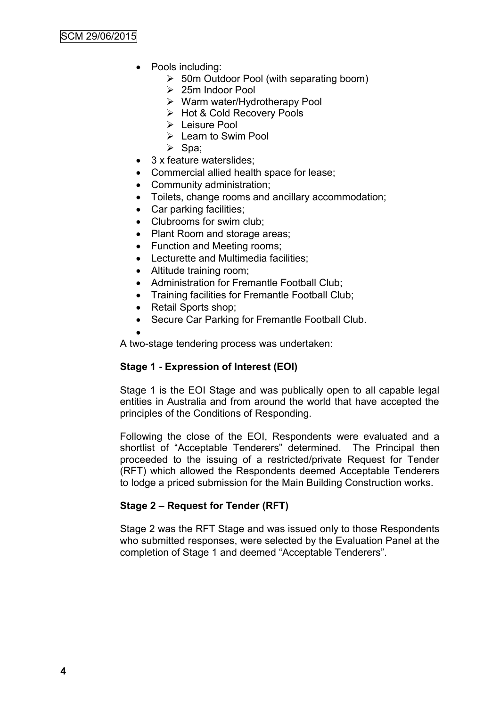- Pools including:
	- 50m Outdoor Pool (with separating boom)
	- $\geq 25$ m Indoor Pool
	- Warm water/Hydrotherapy Pool
	- Hot & Cold Recovery Pools
	- > Leisure Pool
	- $\triangleright$  Learn to Swim Pool
	- $\triangleright$  Spa;
- 3 x feature waterslides;
- Commercial allied health space for lease;
- Community administration;
- Toilets, change rooms and ancillary accommodation;
- Car parking facilities:
- Clubrooms for swim club;
- Plant Room and storage areas;
- Function and Meeting rooms;
- Lecturette and Multimedia facilities;
- Altitude training room;
- Administration for Fremantle Football Club;
- Training facilities for Fremantle Football Club;
- Retail Sports shop;
- Secure Car Parking for Fremantle Football Club.
- $\bullet$

A two-stage tendering process was undertaken:

### **Stage 1 - Expression of Interest (EOI)**

Stage 1 is the EOI Stage and was publically open to all capable legal entities in Australia and from around the world that have accepted the principles of the Conditions of Responding.

Following the close of the EOI, Respondents were evaluated and a shortlist of "Acceptable Tenderers" determined. The Principal then proceeded to the issuing of a restricted/private Request for Tender (RFT) which allowed the Respondents deemed Acceptable Tenderers to lodge a priced submission for the Main Building Construction works.

### **Stage 2 – Request for Tender (RFT)**

Stage 2 was the RFT Stage and was issued only to those Respondents who submitted responses, were selected by the Evaluation Panel at the completion of Stage 1 and deemed "Acceptable Tenderers".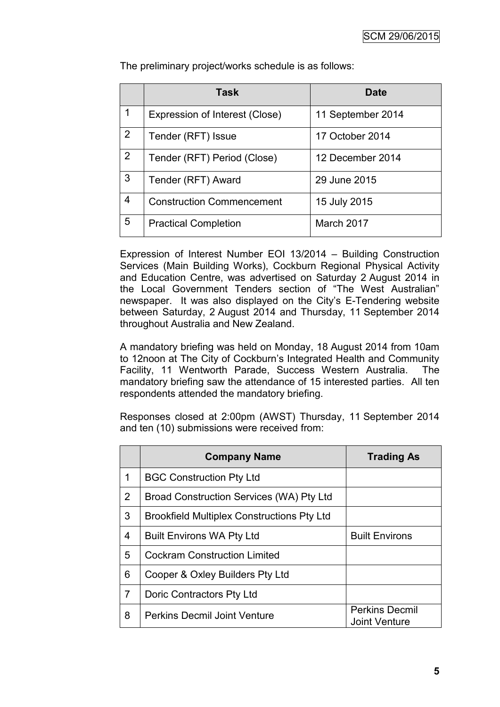|   | <b>Task</b>                      | <b>Date</b>       |
|---|----------------------------------|-------------------|
| 1 | Expression of Interest (Close)   | 11 September 2014 |
| 2 | Tender (RFT) Issue               | 17 October 2014   |
| 2 | Tender (RFT) Period (Close)      | 12 December 2014  |
| 3 | Tender (RFT) Award               | 29 June 2015      |
| 4 | <b>Construction Commencement</b> | 15 July 2015      |
| 5 | <b>Practical Completion</b>      | March 2017        |

The preliminary project/works schedule is as follows:

Expression of Interest Number EOI 13/2014 – Building Construction Services (Main Building Works), Cockburn Regional Physical Activity and Education Centre, was advertised on Saturday 2 August 2014 in the Local Government Tenders section of "The West Australian" newspaper. It was also displayed on the City"s E-Tendering website between Saturday, 2 August 2014 and Thursday, 11 September 2014 throughout Australia and New Zealand.

A mandatory briefing was held on Monday, 18 August 2014 from 10am to 12noon at The City of Cockburn"s Integrated Health and Community Facility, 11 Wentworth Parade, Success Western Australia. The mandatory briefing saw the attendance of 15 interested parties. All ten respondents attended the mandatory briefing.

Responses closed at 2:00pm (AWST) Thursday, 11 September 2014 and ten (10) submissions were received from:

|                | <b>Company Name</b>                               | <b>Trading As</b>                             |
|----------------|---------------------------------------------------|-----------------------------------------------|
| 1              | <b>BGC Construction Pty Ltd</b>                   |                                               |
| $\overline{2}$ | Broad Construction Services (WA) Pty Ltd          |                                               |
| 3              | <b>Brookfield Multiplex Constructions Pty Ltd</b> |                                               |
| 4              | <b>Built Environs WA Pty Ltd</b>                  | <b>Built Environs</b>                         |
| 5              | <b>Cockram Construction Limited</b>               |                                               |
| 6              | Cooper & Oxley Builders Pty Ltd                   |                                               |
| 7              | Doric Contractors Pty Ltd                         |                                               |
| 8              | <b>Perkins Decmil Joint Venture</b>               | <b>Perkins Decmil</b><br><b>Joint Venture</b> |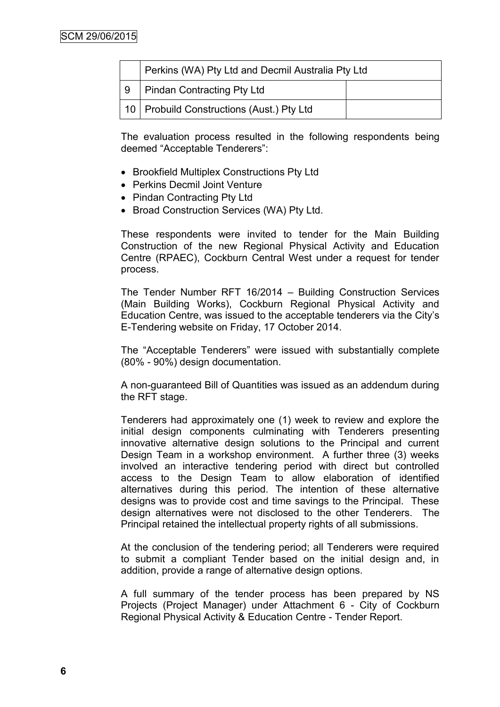|    | Perkins (WA) Pty Ltd and Decmil Australia Pty Ltd |  |
|----|---------------------------------------------------|--|
| -9 | Pindan Contracting Pty Ltd                        |  |
|    | 10   Probuild Constructions (Aust.) Pty Ltd       |  |

The evaluation process resulted in the following respondents being deemed "Acceptable Tenderers":

- Brookfield Multiplex Constructions Pty Ltd
- Perkins Decmil Joint Venture
- Pindan Contracting Pty Ltd
- Broad Construction Services (WA) Pty Ltd.

These respondents were invited to tender for the Main Building Construction of the new Regional Physical Activity and Education Centre (RPAEC), Cockburn Central West under a request for tender process.

The Tender Number RFT 16/2014 – Building Construction Services (Main Building Works), Cockburn Regional Physical Activity and Education Centre, was issued to the acceptable tenderers via the City"s E-Tendering website on Friday, 17 October 2014.

The "Acceptable Tenderers" were issued with substantially complete (80% - 90%) design documentation.

A non-guaranteed Bill of Quantities was issued as an addendum during the RFT stage.

Tenderers had approximately one (1) week to review and explore the initial design components culminating with Tenderers presenting innovative alternative design solutions to the Principal and current Design Team in a workshop environment. A further three (3) weeks involved an interactive tendering period with direct but controlled access to the Design Team to allow elaboration of identified alternatives during this period. The intention of these alternative designs was to provide cost and time savings to the Principal. These design alternatives were not disclosed to the other Tenderers. The Principal retained the intellectual property rights of all submissions.

At the conclusion of the tendering period; all Tenderers were required to submit a compliant Tender based on the initial design and, in addition, provide a range of alternative design options.

A full summary of the tender process has been prepared by NS Projects (Project Manager) under Attachment 6 - City of Cockburn Regional Physical Activity & Education Centre - Tender Report.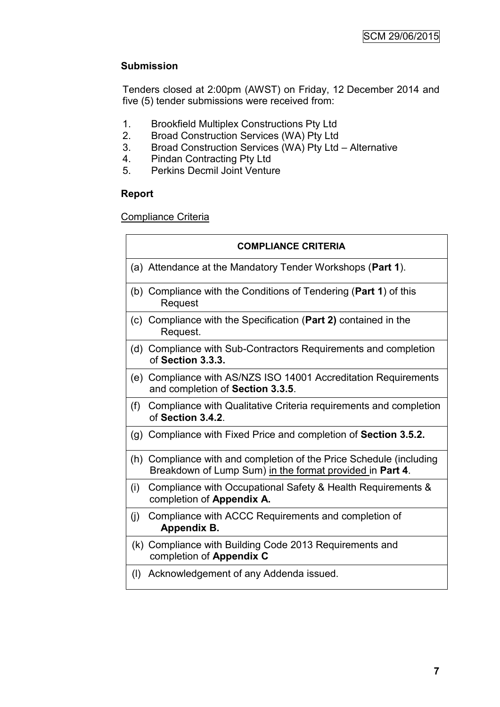# **Submission**

Tenders closed at 2:00pm (AWST) on Friday, 12 December 2014 and five (5) tender submissions were received from:

- 1. Brookfield Multiplex Constructions Pty Ltd
- 2. Broad Construction Services (WA) Pty Ltd
- 3. Broad Construction Services (WA) Pty Ltd Alternative
- 4. Pindan Contracting Pty Ltd<br>5. Perkins Decmil Joint Ventur
- 5. Perkins Decmil Joint Venture

# **Report**

Compliance Criteria

|     | <b>COMPLIANCE CRITERIA</b>                                                                                                      |
|-----|---------------------------------------------------------------------------------------------------------------------------------|
|     | (a) Attendance at the Mandatory Tender Workshops (Part 1).                                                                      |
|     | (b) Compliance with the Conditions of Tendering (Part 1) of this<br>Request                                                     |
|     | (c) Compliance with the Specification (Part 2) contained in the<br>Request.                                                     |
|     | (d) Compliance with Sub-Contractors Requirements and completion<br>of Section 3.3.3.                                            |
|     | (e) Compliance with AS/NZS ISO 14001 Accreditation Requirements<br>and completion of Section 3.3.5.                             |
| (f) | Compliance with Qualitative Criteria requirements and completion<br>of Section 3.4.2.                                           |
|     | (g) Compliance with Fixed Price and completion of Section 3.5.2.                                                                |
|     | (h) Compliance with and completion of the Price Schedule (including<br>Breakdown of Lump Sum) in the format provided in Part 4. |
| (i) | Compliance with Occupational Safety & Health Requirements &<br>completion of Appendix A.                                        |
| (j) | Compliance with ACCC Requirements and completion of<br>Appendix B.                                                              |
|     | (k) Compliance with Building Code 2013 Requirements and<br>completion of Appendix C                                             |
| (1) | Acknowledgement of any Addenda issued.                                                                                          |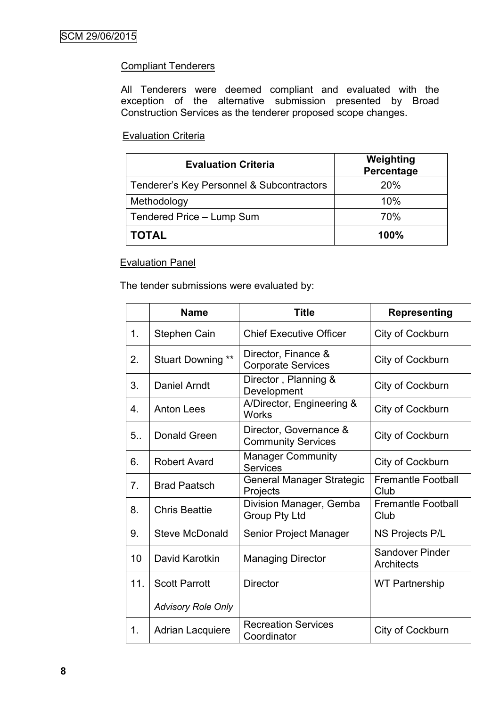## **Compliant Tenderers**

All Tenderers were deemed compliant and evaluated with the exception of the alternative submission presented by Broad Construction Services as the tenderer proposed scope changes.

### Evaluation Criteria

| <b>Evaluation Criteria</b>                | Weighting<br>Percentage |
|-------------------------------------------|-------------------------|
| Tenderer's Key Personnel & Subcontractors | <b>20%</b>              |
| Methodology                               | 10%                     |
| Tendered Price - Lump Sum                 | 70%                     |
| <b>TOTAL</b>                              | 100%                    |

### Evaluation Panel

The tender submissions were evaluated by:

|     | <b>Name</b>               | <b>Title</b>                                        | <b>Representing</b>                         |
|-----|---------------------------|-----------------------------------------------------|---------------------------------------------|
| 1.  | Stephen Cain              | <b>Chief Executive Officer</b>                      | City of Cockburn                            |
| 2.  | Stuart Downing **         | Director, Finance &<br><b>Corporate Services</b>    | City of Cockburn                            |
| 3.  | Daniel Arndt              | Director, Planning &<br>Development                 | City of Cockburn                            |
| 4.  | <b>Anton Lees</b>         | A/Director, Engineering &<br><b>Works</b>           | City of Cockburn                            |
| 5.  | Donald Green              | Director, Governance &<br><b>Community Services</b> | City of Cockburn                            |
| 6.  | <b>Robert Avard</b>       | <b>Manager Community</b><br><b>Services</b>         | City of Cockburn                            |
| 7.  | <b>Brad Paatsch</b>       | <b>General Manager Strategic</b><br>Projects        | <b>Fremantle Football</b><br>Club           |
| 8.  | <b>Chris Beattie</b>      | Division Manager, Gemba<br>Group Pty Ltd            | <b>Fremantle Football</b><br>Club           |
| 9.  | <b>Steve McDonald</b>     | Senior Project Manager                              | NS Projects P/L                             |
| 10  | David Karotkin            | <b>Managing Director</b>                            | <b>Sandover Pinder</b><br><b>Architects</b> |
| 11. | <b>Scott Parrott</b>      | <b>Director</b>                                     | <b>WT Partnership</b>                       |
|     | <b>Advisory Role Only</b> |                                                     |                                             |
| 1.  | <b>Adrian Lacquiere</b>   | <b>Recreation Services</b><br>Coordinator           | City of Cockburn                            |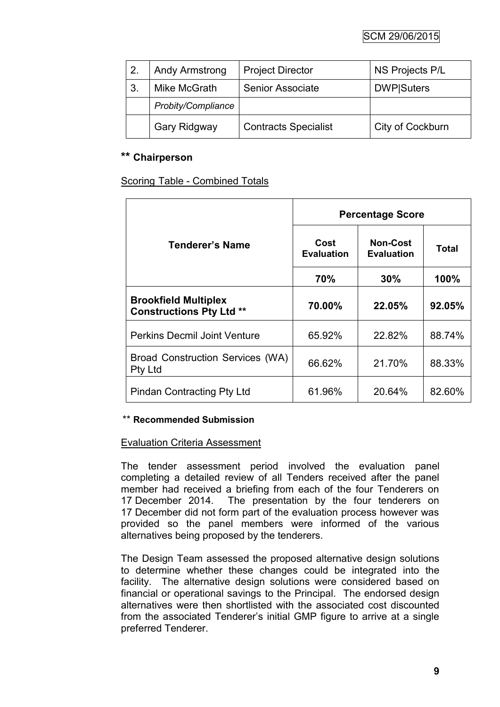| 2. | <b>Andy Armstrong</b> | <b>Project Director</b>     | NS Projects P/L    |
|----|-----------------------|-----------------------------|--------------------|
| 3. | Mike McGrath          | <b>Senior Associate</b>     | <b>DWP</b>  Suters |
|    | Probity/Compliance    |                             |                    |
|    | Gary Ridgway          | <b>Contracts Specialist</b> | City of Cockburn   |

# **\*\* Chairperson**

Scoring Table - Combined Totals

|                                                                | <b>Percentage Score</b>   |                                      |              |
|----------------------------------------------------------------|---------------------------|--------------------------------------|--------------|
| Tenderer's Name                                                | Cost<br><b>Evaluation</b> | <b>Non-Cost</b><br><b>Evaluation</b> | <b>Total</b> |
|                                                                | 70%                       | 30%                                  | 100%         |
| <b>Brookfield Multiplex</b><br><b>Constructions Pty Ltd **</b> | 70.00%                    | 22.05%                               | 92.05%       |
| <b>Perkins Decmil Joint Venture</b>                            | 65.92%                    | 22.82%                               | 88.74%       |
| Broad Construction Services (WA)<br><b>Pty Ltd</b>             | 66.62%                    | 21.70%                               | 88.33%       |
| <b>Pindan Contracting Pty Ltd</b>                              | 61.96%                    | 20.64%                               | 82.60%       |

### \*\* **Recommended Submission**

### Evaluation Criteria Assessment

The tender assessment period involved the evaluation panel completing a detailed review of all Tenders received after the panel member had received a briefing from each of the four Tenderers on 17 December 2014. The presentation by the four tenderers on 17 December did not form part of the evaluation process however was provided so the panel members were informed of the various alternatives being proposed by the tenderers.

The Design Team assessed the proposed alternative design solutions to determine whether these changes could be integrated into the facility. The alternative design solutions were considered based on financial or operational savings to the Principal. The endorsed design alternatives were then shortlisted with the associated cost discounted from the associated Tenderer"s initial GMP figure to arrive at a single preferred Tenderer.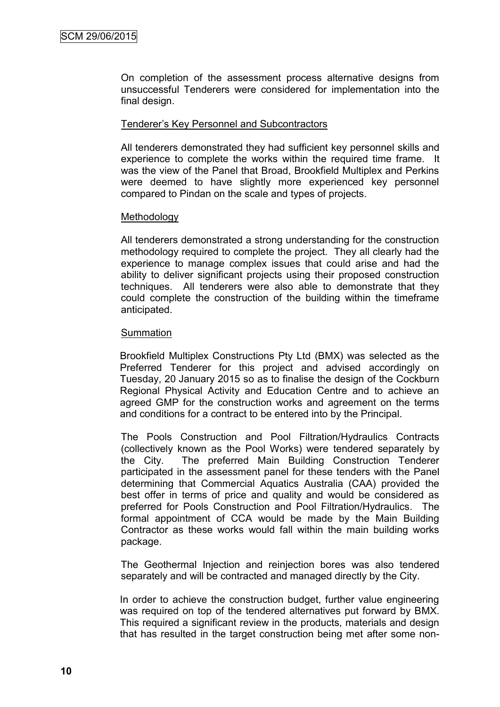On completion of the assessment process alternative designs from unsuccessful Tenderers were considered for implementation into the final design.

#### Tenderer"s Key Personnel and Subcontractors

All tenderers demonstrated they had sufficient key personnel skills and experience to complete the works within the required time frame. It was the view of the Panel that Broad, Brookfield Multiplex and Perkins were deemed to have slightly more experienced key personnel compared to Pindan on the scale and types of projects.

#### **Methodology**

All tenderers demonstrated a strong understanding for the construction methodology required to complete the project. They all clearly had the experience to manage complex issues that could arise and had the ability to deliver significant projects using their proposed construction techniques. All tenderers were also able to demonstrate that they could complete the construction of the building within the timeframe anticipated.

#### **Summation**

Brookfield Multiplex Constructions Pty Ltd (BMX) was selected as the Preferred Tenderer for this project and advised accordingly on Tuesday, 20 January 2015 so as to finalise the design of the Cockburn Regional Physical Activity and Education Centre and to achieve an agreed GMP for the construction works and agreement on the terms and conditions for a contract to be entered into by the Principal.

The Pools Construction and Pool Filtration/Hydraulics Contracts (collectively known as the Pool Works) were tendered separately by the City. The preferred Main Building Construction Tenderer participated in the assessment panel for these tenders with the Panel determining that Commercial Aquatics Australia (CAA) provided the best offer in terms of price and quality and would be considered as preferred for Pools Construction and Pool Filtration/Hydraulics. The formal appointment of CCA would be made by the Main Building Contractor as these works would fall within the main building works package.

The Geothermal Injection and reinjection bores was also tendered separately and will be contracted and managed directly by the City.

In order to achieve the construction budget, further value engineering was required on top of the tendered alternatives put forward by BMX. This required a significant review in the products, materials and design that has resulted in the target construction being met after some non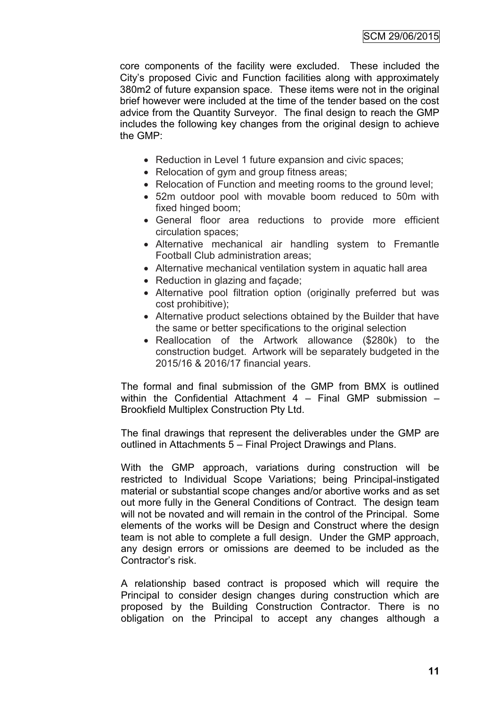core components of the facility were excluded. These included the City"s proposed Civic and Function facilities along with approximately 380m2 of future expansion space. These items were not in the original brief however were included at the time of the tender based on the cost advice from the Quantity Surveyor. The final design to reach the GMP includes the following key changes from the original design to achieve the GMP:

- Reduction in Level 1 future expansion and civic spaces;
- Relocation of gym and group fitness areas;
- Relocation of Function and meeting rooms to the ground level;
- 52m outdoor pool with movable boom reduced to 50m with fixed hinged boom;
- General floor area reductions to provide more efficient circulation spaces;
- Alternative mechanical air handling system to Fremantle Football Club administration areas;
- Alternative mechanical ventilation system in aquatic hall area
- Reduction in glazing and facade;
- Alternative pool filtration option (originally preferred but was cost prohibitive);
- Alternative product selections obtained by the Builder that have the same or better specifications to the original selection
- Reallocation of the Artwork allowance (\$280k) to the construction budget. Artwork will be separately budgeted in the 2015/16 & 2016/17 financial years.

The formal and final submission of the GMP from BMX is outlined within the Confidential Attachment 4 – Final GMP submission – Brookfield Multiplex Construction Pty Ltd.

The final drawings that represent the deliverables under the GMP are outlined in Attachments 5 – Final Project Drawings and Plans.

With the GMP approach, variations during construction will be restricted to Individual Scope Variations; being Principal-instigated material or substantial scope changes and/or abortive works and as set out more fully in the General Conditions of Contract. The design team will not be novated and will remain in the control of the Principal. Some elements of the works will be Design and Construct where the design team is not able to complete a full design. Under the GMP approach, any design errors or omissions are deemed to be included as the Contractor"s risk.

A relationship based contract is proposed which will require the Principal to consider design changes during construction which are proposed by the Building Construction Contractor. There is no obligation on the Principal to accept any changes although a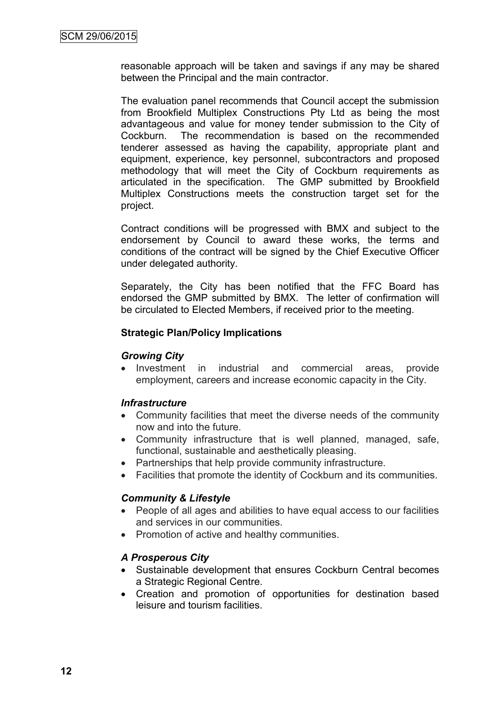reasonable approach will be taken and savings if any may be shared between the Principal and the main contractor.

The evaluation panel recommends that Council accept the submission from Brookfield Multiplex Constructions Pty Ltd as being the most advantageous and value for money tender submission to the City of Cockburn. The recommendation is based on the recommended tenderer assessed as having the capability, appropriate plant and equipment, experience, key personnel, subcontractors and proposed methodology that will meet the City of Cockburn requirements as articulated in the specification. The GMP submitted by Brookfield Multiplex Constructions meets the construction target set for the project.

Contract conditions will be progressed with BMX and subject to the endorsement by Council to award these works, the terms and conditions of the contract will be signed by the Chief Executive Officer under delegated authority.

Separately, the City has been notified that the FFC Board has endorsed the GMP submitted by BMX. The letter of confirmation will be circulated to Elected Members, if received prior to the meeting.

#### **Strategic Plan/Policy Implications**

#### *Growing City*

• Investment in industrial and commercial areas, provide employment, careers and increase economic capacity in the City.

### *Infrastructure*

- Community facilities that meet the diverse needs of the community now and into the future.
- Community infrastructure that is well planned, managed, safe, functional, sustainable and aesthetically pleasing.
- Partnerships that help provide community infrastructure.
- Facilities that promote the identity of Cockburn and its communities.

### *Community & Lifestyle*

- People of all ages and abilities to have equal access to our facilities and services in our communities.
- Promotion of active and healthy communities.

### *A Prosperous City*

- Sustainable development that ensures Cockburn Central becomes a Strategic Regional Centre.
- Creation and promotion of opportunities for destination based leisure and tourism facilities.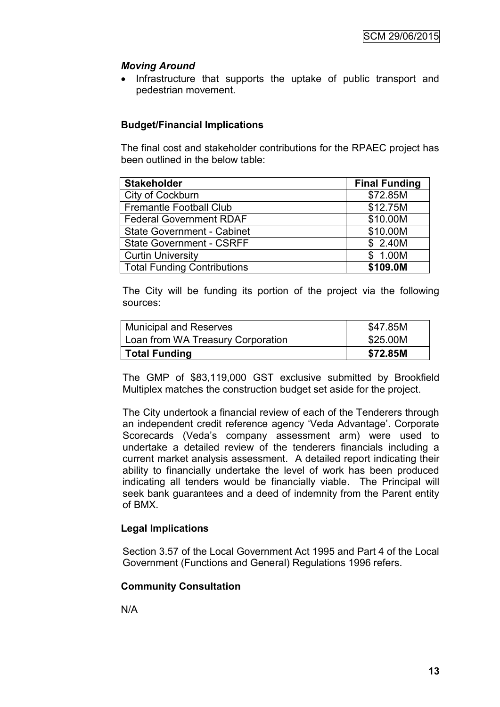# *Moving Around*

• Infrastructure that supports the uptake of public transport and pedestrian movement.

# **Budget/Financial Implications**

The final cost and stakeholder contributions for the RPAEC project has been outlined in the below table:

| <b>Stakeholder</b>                 | <b>Final Funding</b> |
|------------------------------------|----------------------|
| City of Cockburn                   | \$72.85M             |
| <b>Fremantle Football Club</b>     | \$12.75M             |
| <b>Federal Government RDAF</b>     | \$10.00M             |
| <b>State Government - Cabinet</b>  | \$10.00M             |
| <b>State Government - CSRFF</b>    | \$ 2.40M             |
| <b>Curtin University</b>           | \$1.00M              |
| <b>Total Funding Contributions</b> | \$109.0M             |

The City will be funding its portion of the project via the following sources:

| <b>Municipal and Reserves</b>     | \$47.85M |
|-----------------------------------|----------|
| Loan from WA Treasury Corporation | \$25.00M |
| Total Funding                     | \$72.85M |

The GMP of \$83,119,000 GST exclusive submitted by Brookfield Multiplex matches the construction budget set aside for the project.

The City undertook a financial review of each of the Tenderers through an independent credit reference agency 'Veda Advantage'. Corporate Scorecards (Veda"s company assessment arm) were used to undertake a detailed review of the tenderers financials including a current market analysis assessment. A detailed report indicating their ability to financially undertake the level of work has been produced indicating all tenders would be financially viable. The Principal will seek bank guarantees and a deed of indemnity from the Parent entity of BMX.

# **Legal Implications**

Section 3.57 of the Local Government Act 1995 and Part 4 of the Local Government (Functions and General) Regulations 1996 refers.

# **Community Consultation**

N/A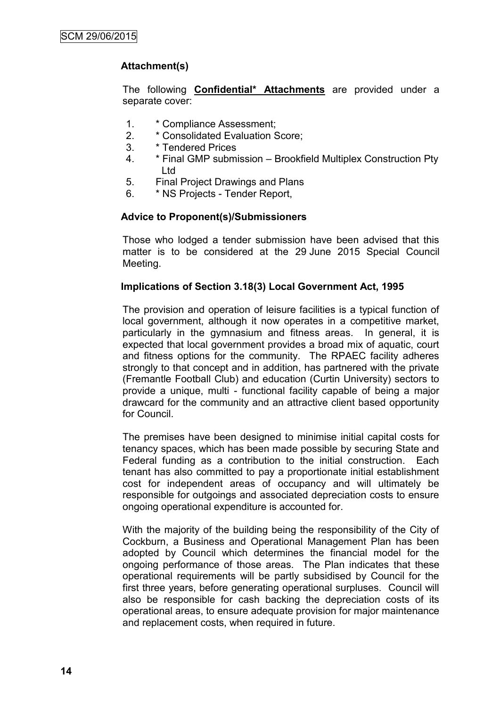# **Attachment(s)**

The following **Confidential\* Attachments** are provided under a separate cover:

- 1. \* Compliance Assessment;
- 2. \* Consolidated Evaluation Score;
- 3. \* Tendered Prices
- 4. \* Final GMP submission Brookfield Multiplex Construction Pty Ltd
- 5. Final Project Drawings and Plans
- 6. \* NS Projects Tender Report,

### **Advice to Proponent(s)/Submissioners**

Those who lodged a tender submission have been advised that this matter is to be considered at the 29 June 2015 Special Council Meeting.

#### **Implications of Section 3.18(3) Local Government Act, 1995**

The provision and operation of leisure facilities is a typical function of local government, although it now operates in a competitive market, particularly in the gymnasium and fitness areas. In general, it is expected that local government provides a broad mix of aquatic, court and fitness options for the community. The RPAEC facility adheres strongly to that concept and in addition, has partnered with the private (Fremantle Football Club) and education (Curtin University) sectors to provide a unique, multi - functional facility capable of being a major drawcard for the community and an attractive client based opportunity for Council.

The premises have been designed to minimise initial capital costs for tenancy spaces, which has been made possible by securing State and Federal funding as a contribution to the initial construction. Each tenant has also committed to pay a proportionate initial establishment cost for independent areas of occupancy and will ultimately be responsible for outgoings and associated depreciation costs to ensure ongoing operational expenditure is accounted for.

With the majority of the building being the responsibility of the City of Cockburn, a Business and Operational Management Plan has been adopted by Council which determines the financial model for the ongoing performance of those areas. The Plan indicates that these operational requirements will be partly subsidised by Council for the first three years, before generating operational surpluses. Council will also be responsible for cash backing the depreciation costs of its operational areas, to ensure adequate provision for major maintenance and replacement costs, when required in future.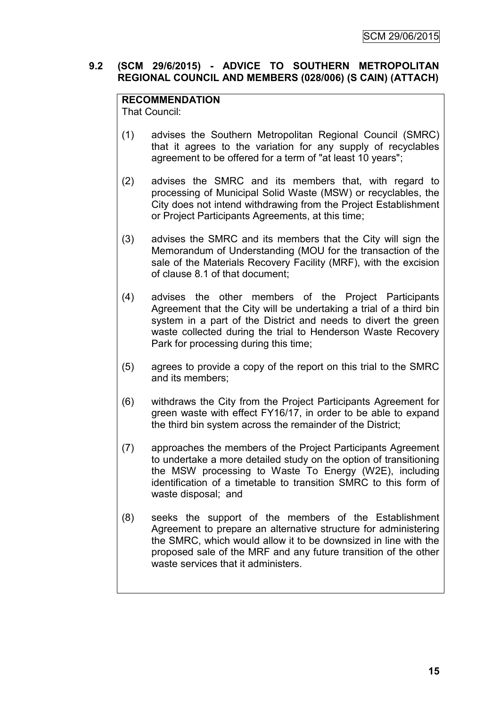### **9.2 (SCM 29/6/2015) - ADVICE TO SOUTHERN METROPOLITAN REGIONAL COUNCIL AND MEMBERS (028/006) (S CAIN) (ATTACH)**

# **RECOMMENDATION**

That Council:

- (1) advises the Southern Metropolitan Regional Council (SMRC) that it agrees to the variation for any supply of recyclables agreement to be offered for a term of "at least 10 years";
- (2) advises the SMRC and its members that, with regard to processing of Municipal Solid Waste (MSW) or recyclables, the City does not intend withdrawing from the Project Establishment or Project Participants Agreements, at this time;
- (3) advises the SMRC and its members that the City will sign the Memorandum of Understanding (MOU for the transaction of the sale of the Materials Recovery Facility (MRF), with the excision of clause 8.1 of that document;
- (4) advises the other members of the Project Participants Agreement that the City will be undertaking a trial of a third bin system in a part of the District and needs to divert the green waste collected during the trial to Henderson Waste Recovery Park for processing during this time;
- (5) agrees to provide a copy of the report on this trial to the SMRC and its members;
- (6) withdraws the City from the Project Participants Agreement for green waste with effect FY16/17, in order to be able to expand the third bin system across the remainder of the District;
- (7) approaches the members of the Project Participants Agreement to undertake a more detailed study on the option of transitioning the MSW processing to Waste To Energy (W2E), including identification of a timetable to transition SMRC to this form of waste disposal; and
- (8) seeks the support of the members of the Establishment Agreement to prepare an alternative structure for administering the SMRC, which would allow it to be downsized in line with the proposed sale of the MRF and any future transition of the other waste services that it administers.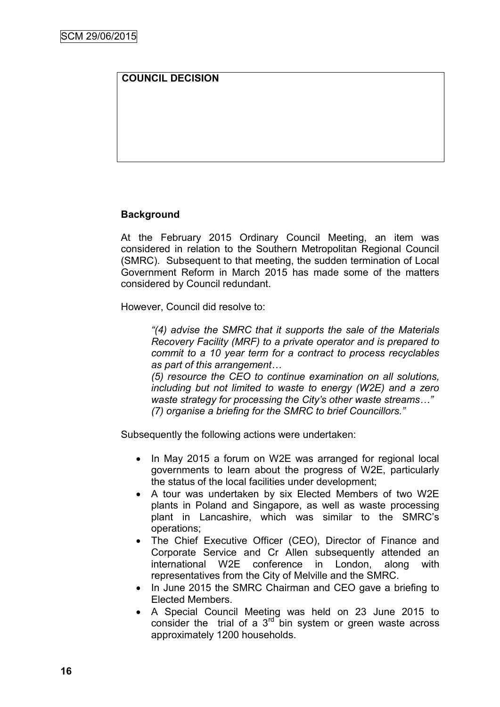# **COUNCIL DECISION**

### **Background**

At the February 2015 Ordinary Council Meeting, an item was considered in relation to the Southern Metropolitan Regional Council (SMRC). Subsequent to that meeting, the sudden termination of Local Government Reform in March 2015 has made some of the matters considered by Council redundant.

However, Council did resolve to:

*"(4) advise the SMRC that it supports the sale of the Materials Recovery Facility (MRF) to a private operator and is prepared to commit to a 10 year term for a contract to process recyclables as part of this arrangement…*

*(5) resource the CEO to continue examination on all solutions, including but not limited to waste to energy (W2E) and a zero waste strategy for processing the City's other waste streams…" (7) organise a briefing for the SMRC to brief Councillors."*

Subsequently the following actions were undertaken:

- In May 2015 a forum on W2E was arranged for regional local governments to learn about the progress of W2E, particularly the status of the local facilities under development;
- A tour was undertaken by six Elected Members of two W2E plants in Poland and Singapore, as well as waste processing plant in Lancashire, which was similar to the SMRC"s operations;
- The Chief Executive Officer (CEO), Director of Finance and Corporate Service and Cr Allen subsequently attended an international W2E conference in London, along with representatives from the City of Melville and the SMRC.
- In June 2015 the SMRC Chairman and CEO gave a briefing to Elected Members.
- A Special Council Meeting was held on 23 June 2015 to consider the trial of a  $3<sup>rd</sup>$  bin system or green waste across approximately 1200 households.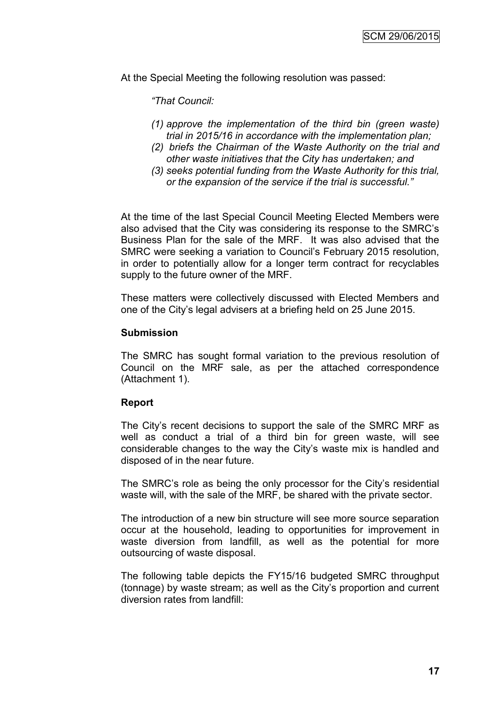At the Special Meeting the following resolution was passed:

*"That Council:*

- *(1) approve the implementation of the third bin (green waste) trial in 2015/16 in accordance with the implementation plan;*
- *(2) briefs the Chairman of the Waste Authority on the trial and other waste initiatives that the City has undertaken; and*
- *(3) seeks potential funding from the Waste Authority for this trial, or the expansion of the service if the trial is successful."*

At the time of the last Special Council Meeting Elected Members were also advised that the City was considering its response to the SMRC"s Business Plan for the sale of the MRF. It was also advised that the SMRC were seeking a variation to Council"s February 2015 resolution, in order to potentially allow for a longer term contract for recyclables supply to the future owner of the MRF.

These matters were collectively discussed with Elected Members and one of the City"s legal advisers at a briefing held on 25 June 2015.

#### **Submission**

The SMRC has sought formal variation to the previous resolution of Council on the MRF sale, as per the attached correspondence (Attachment 1).

#### **Report**

The City"s recent decisions to support the sale of the SMRC MRF as well as conduct a trial of a third bin for green waste, will see considerable changes to the way the City"s waste mix is handled and disposed of in the near future.

The SMRC's role as being the only processor for the City's residential waste will, with the sale of the MRF, be shared with the private sector.

The introduction of a new bin structure will see more source separation occur at the household, leading to opportunities for improvement in waste diversion from landfill, as well as the potential for more outsourcing of waste disposal.

The following table depicts the FY15/16 budgeted SMRC throughput (tonnage) by waste stream; as well as the City"s proportion and current diversion rates from landfill: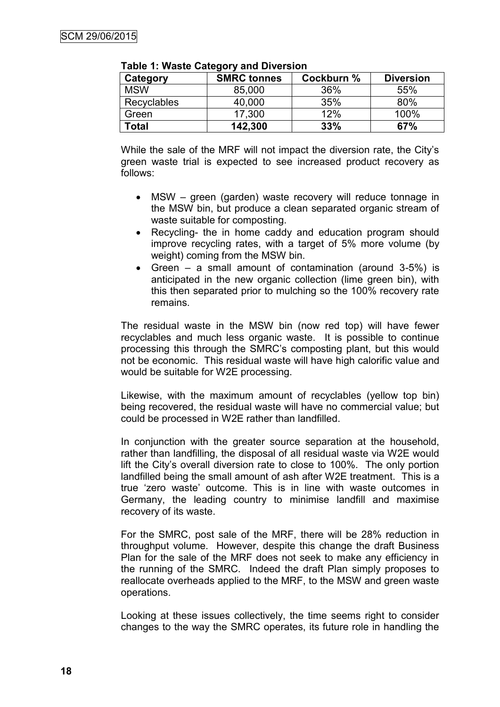| Category    | <b>SMRC tonnes</b> | Cockburn % | <b>Diversion</b> |
|-------------|--------------------|------------|------------------|
| <b>MSW</b>  | 85,000             | 36%        | 55%              |
| Recyclables | 40,000             | 35%        | 80%              |
| Green       | 17,300             | 12%        | 100%             |
| Гоtal       | 142,300            | 33%        | 67%              |

**Table 1: Waste Category and Diversion** 

While the sale of the MRF will not impact the diversion rate, the City"s green waste trial is expected to see increased product recovery as follows:

- MSW green (garden) waste recovery will reduce tonnage in the MSW bin, but produce a clean separated organic stream of waste suitable for composting.
- Recycling- the in home caddy and education program should improve recycling rates, with a target of 5% more volume (by weight) coming from the MSW bin.
- Green a small amount of contamination (around 3-5%) is anticipated in the new organic collection (lime green bin), with this then separated prior to mulching so the 100% recovery rate remains.

The residual waste in the MSW bin (now red top) will have fewer recyclables and much less organic waste. It is possible to continue processing this through the SMRC"s composting plant, but this would not be economic. This residual waste will have high calorific value and would be suitable for W2E processing.

Likewise, with the maximum amount of recyclables (yellow top bin) being recovered, the residual waste will have no commercial value; but could be processed in W2E rather than landfilled.

In conjunction with the greater source separation at the household, rather than landfilling, the disposal of all residual waste via W2E would lift the City"s overall diversion rate to close to 100%. The only portion landfilled being the small amount of ash after W2E treatment. This is a true "zero waste" outcome. This is in line with waste outcomes in Germany, the leading country to minimise landfill and maximise recovery of its waste.

For the SMRC, post sale of the MRF, there will be 28% reduction in throughput volume. However, despite this change the draft Business Plan for the sale of the MRF does not seek to make any efficiency in the running of the SMRC. Indeed the draft Plan simply proposes to reallocate overheads applied to the MRF, to the MSW and green waste operations.

Looking at these issues collectively, the time seems right to consider changes to the way the SMRC operates, its future role in handling the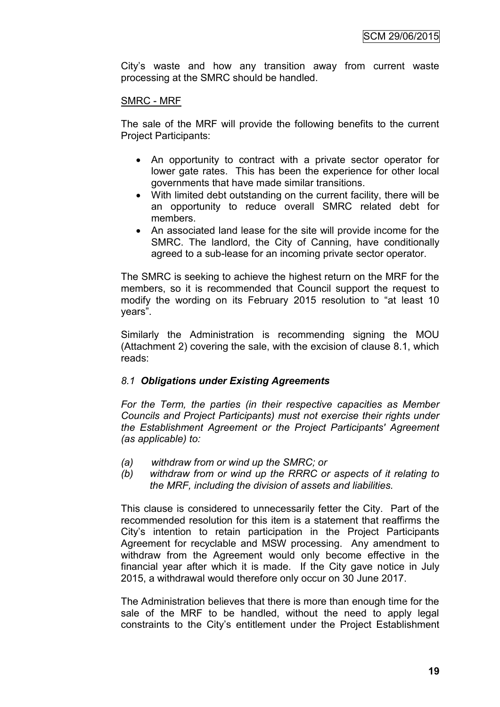City"s waste and how any transition away from current waste processing at the SMRC should be handled.

#### SMRC - MRF

The sale of the MRF will provide the following benefits to the current Project Participants:

- An opportunity to contract with a private sector operator for lower gate rates. This has been the experience for other local governments that have made similar transitions.
- With limited debt outstanding on the current facility, there will be an opportunity to reduce overall SMRC related debt for members.
- An associated land lease for the site will provide income for the SMRC. The landlord, the City of Canning, have conditionally agreed to a sub-lease for an incoming private sector operator.

The SMRC is seeking to achieve the highest return on the MRF for the members, so it is recommended that Council support the request to modify the wording on its February 2015 resolution to "at least 10 years".

Similarly the Administration is recommending signing the MOU (Attachment 2) covering the sale, with the excision of clause 8.1, which reads:

### *8.1 Obligations under Existing Agreements*

*For the Term, the parties (in their respective capacities as Member Councils and Project Participants) must not exercise their rights under the Establishment Agreement or the Project Participants' Agreement (as applicable) to:*

- *(a) withdraw from or wind up the SMRC; or*
- *(b) withdraw from or wind up the RRRC or aspects of it relating to the MRF, including the division of assets and liabilities.*

This clause is considered to unnecessarily fetter the City. Part of the recommended resolution for this item is a statement that reaffirms the City"s intention to retain participation in the Project Participants Agreement for recyclable and MSW processing. Any amendment to withdraw from the Agreement would only become effective in the financial year after which it is made. If the City gave notice in July 2015, a withdrawal would therefore only occur on 30 June 2017.

The Administration believes that there is more than enough time for the sale of the MRF to be handled, without the need to apply legal constraints to the City"s entitlement under the Project Establishment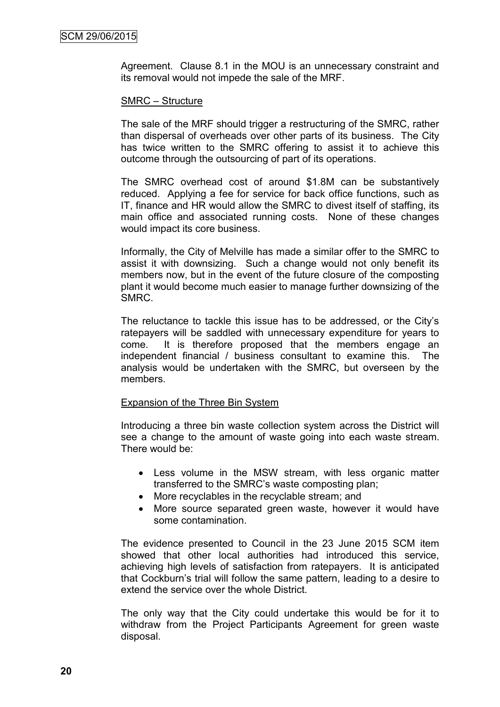Agreement. Clause 8.1 in the MOU is an unnecessary constraint and its removal would not impede the sale of the MRF.

#### SMRC – Structure

The sale of the MRF should trigger a restructuring of the SMRC, rather than dispersal of overheads over other parts of its business. The City has twice written to the SMRC offering to assist it to achieve this outcome through the outsourcing of part of its operations.

The SMRC overhead cost of around \$1.8M can be substantively reduced. Applying a fee for service for back office functions, such as IT, finance and HR would allow the SMRC to divest itself of staffing, its main office and associated running costs. None of these changes would impact its core business.

Informally, the City of Melville has made a similar offer to the SMRC to assist it with downsizing. Such a change would not only benefit its members now, but in the event of the future closure of the composting plant it would become much easier to manage further downsizing of the SMRC.

The reluctance to tackle this issue has to be addressed, or the City"s ratepayers will be saddled with unnecessary expenditure for years to come. It is therefore proposed that the members engage an independent financial / business consultant to examine this. The analysis would be undertaken with the SMRC, but overseen by the members.

#### Expansion of the Three Bin System

Introducing a three bin waste collection system across the District will see a change to the amount of waste going into each waste stream. There would be:

- Less volume in the MSW stream, with less organic matter transferred to the SMRC"s waste composting plan;
- More recyclables in the recyclable stream; and
- More source separated green waste, however it would have some contamination.

The evidence presented to Council in the 23 June 2015 SCM item showed that other local authorities had introduced this service, achieving high levels of satisfaction from ratepayers. It is anticipated that Cockburn"s trial will follow the same pattern, leading to a desire to extend the service over the whole District.

The only way that the City could undertake this would be for it to withdraw from the Project Participants Agreement for green waste disposal.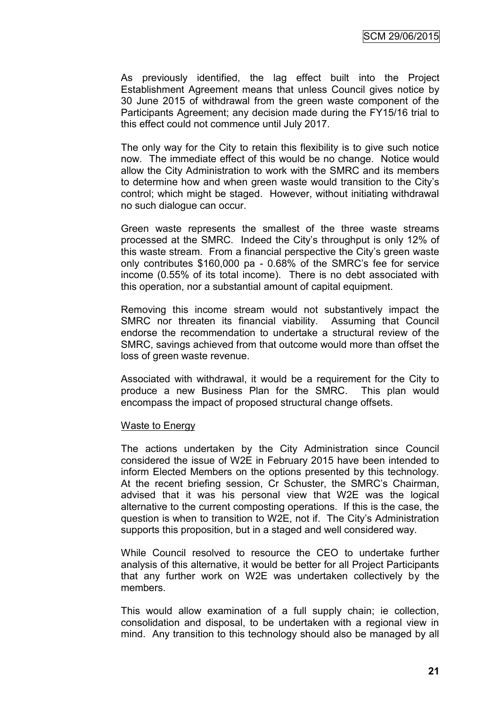As previously identified, the lag effect built into the Project Establishment Agreement means that unless Council gives notice by 30 June 2015 of withdrawal from the green waste component of the Participants Agreement; any decision made during the FY15/16 trial to this effect could not commence until July 2017.

The only way for the City to retain this flexibility is to give such notice now. The immediate effect of this would be no change. Notice would allow the City Administration to work with the SMRC and its members to determine how and when green waste would transition to the City"s control; which might be staged. However, without initiating withdrawal no such dialogue can occur.

Green waste represents the smallest of the three waste streams processed at the SMRC. Indeed the City"s throughput is only 12% of this waste stream. From a financial perspective the City"s green waste only contributes \$160,000 pa - 0.68% of the SMRC"s fee for service income (0.55% of its total income). There is no debt associated with this operation, nor a substantial amount of capital equipment.

Removing this income stream would not substantively impact the SMRC nor threaten its financial viability. Assuming that Council endorse the recommendation to undertake a structural review of the SMRC, savings achieved from that outcome would more than offset the loss of green waste revenue.

Associated with withdrawal, it would be a requirement for the City to produce a new Business Plan for the SMRC. This plan would encompass the impact of proposed structural change offsets.

#### Waste to Energy

The actions undertaken by the City Administration since Council considered the issue of W2E in February 2015 have been intended to inform Elected Members on the options presented by this technology. At the recent briefing session, Cr Schuster, the SMRC"s Chairman, advised that it was his personal view that W2E was the logical alternative to the current composting operations. If this is the case, the question is when to transition to W2E, not if. The City"s Administration supports this proposition, but in a staged and well considered way.

While Council resolved to resource the CEO to undertake further analysis of this alternative, it would be better for all Project Participants that any further work on W2E was undertaken collectively by the members.

This would allow examination of a full supply chain; ie collection, consolidation and disposal, to be undertaken with a regional view in mind. Any transition to this technology should also be managed by all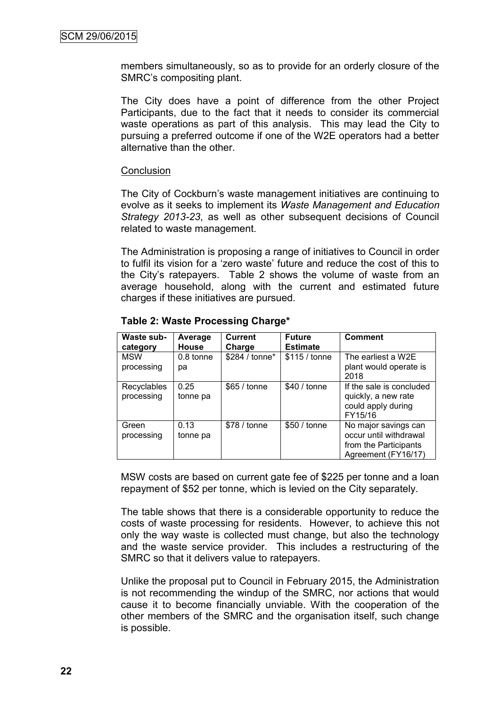members simultaneously, so as to provide for an orderly closure of the SMRC"s compositing plant.

The City does have a point of difference from the other Project Participants, due to the fact that it needs to consider its commercial waste operations as part of this analysis. This may lead the City to pursuing a preferred outcome if one of the W2E operators had a better alternative than the other.

#### **Conclusion**

The City of Cockburn's waste management initiatives are continuing to evolve as it seeks to implement its *Waste Management and Education Strategy 2013-23*, as well as other subsequent decisions of Council related to waste management.

The Administration is proposing a range of initiatives to Council in order to fulfil its vision for a "zero waste" future and reduce the cost of this to the City"s ratepayers. Table 2 shows the volume of waste from an average household, along with the current and estimated future charges if these initiatives are pursued.

| Waste sub-<br>category    | Average<br><b>House</b> | <b>Current</b><br>Charge | <b>Future</b><br><b>Estimate</b> | <b>Comment</b>                                                                                 |
|---------------------------|-------------------------|--------------------------|----------------------------------|------------------------------------------------------------------------------------------------|
| <b>MSW</b><br>processing  | 0.8 tonne<br>рa         | \$284 / tonne*           | $$115 /$ tonne                   | The earliest a W2E<br>plant would operate is<br>2018                                           |
| Recyclables<br>processing | 0.25<br>tonne pa        | \$65 / tonne             | \$40 / tonne                     | If the sale is concluded<br>quickly, a new rate<br>could apply during<br>FY15/16               |
| Green<br>processing       | 0.13<br>tonne pa        | \$78 / tonne             | \$50 / tonne                     | No major savings can<br>occur until withdrawal<br>from the Participants<br>Agreement (FY16/17) |

**Table 2: Waste Processing Charge\***

MSW costs are based on current gate fee of \$225 per tonne and a loan repayment of \$52 per tonne, which is levied on the City separately.

The table shows that there is a considerable opportunity to reduce the costs of waste processing for residents. However, to achieve this not only the way waste is collected must change, but also the technology and the waste service provider. This includes a restructuring of the SMRC so that it delivers value to ratepayers.

Unlike the proposal put to Council in February 2015, the Administration is not recommending the windup of the SMRC, nor actions that would cause it to become financially unviable. With the cooperation of the other members of the SMRC and the organisation itself, such change is possible.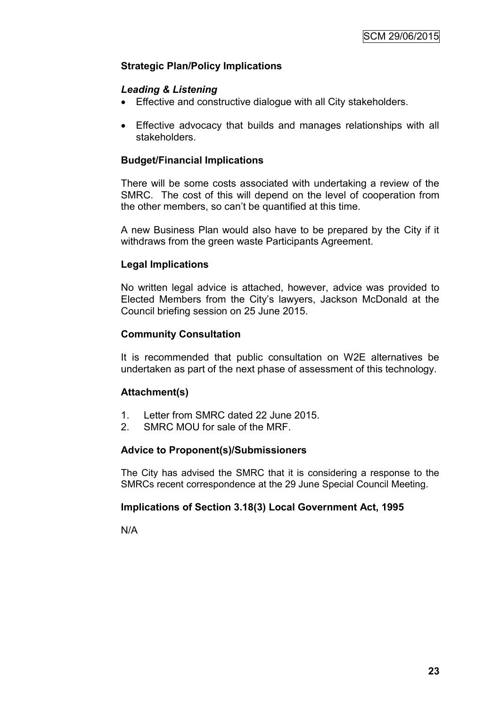# **Strategic Plan/Policy Implications**

### *Leading & Listening*

- Effective and constructive dialogue with all City stakeholders.
- Effective advocacy that builds and manages relationships with all stakeholders.

### **Budget/Financial Implications**

There will be some costs associated with undertaking a review of the SMRC. The cost of this will depend on the level of cooperation from the other members, so can"t be quantified at this time.

A new Business Plan would also have to be prepared by the City if it withdraws from the green waste Participants Agreement.

### **Legal Implications**

No written legal advice is attached, however, advice was provided to Elected Members from the City"s lawyers, Jackson McDonald at the Council briefing session on 25 June 2015.

### **Community Consultation**

It is recommended that public consultation on W2E alternatives be undertaken as part of the next phase of assessment of this technology.

#### **Attachment(s)**

- 1. Letter from SMRC dated 22 June 2015.
- 2. SMRC MOU for sale of the MRF.

#### **Advice to Proponent(s)/Submissioners**

The City has advised the SMRC that it is considering a response to the SMRCs recent correspondence at the 29 June Special Council Meeting.

### **Implications of Section 3.18(3) Local Government Act, 1995**

N/A